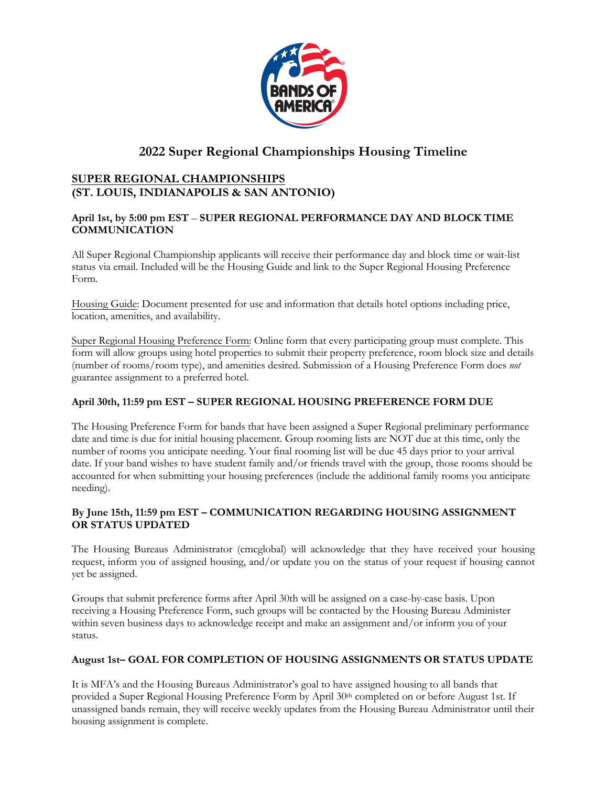

# **2022 Super Regional Championships Housing Timeline**

# **SUPER REGIONAL CHAMPIONSHIPS (ST. LOUIS, INDIANAPOLIS & SAN ANTONIO)**

## **April 1st, by 5:00 pm EST** – **SUPER REGIONAL PERFORMANCE DAY AND BLOCK TIME COMMUNICATION**

All Super Regional Championship applicants will receive their performance day and block time or wait-list status via email. Included will be the Housing Guide and link to the Super Regional Housing Preference Form.

Housing Guide: Document presented for use and information that details hotel options including price, location, amenities, and availability.

Super Regional Housing Preference Form: Online form that every participating group must complete. This form will allow groups using hotel properties to submit their property preference, room block size and details (number of rooms/room type), and amenities desired. Submission of a Housing Preference Form does *not* guarantee assignment to a preferred hotel.

## **April 30th, 11:59 pm EST – SUPER REGIONAL HOUSING PREFERENCE FORM DUE**

The Housing Preference Form for bands that have been assigned a Super Regional preliminary performance date and time is due for initial housing placement. Group rooming lists are NOT due at this time, only the number of rooms you anticipate needing. Your final rooming list will be due 45 days prior to your arrival date. If your band wishes to have student family and/or friends travel with the group, those rooms should be accounted for when submitting your housing preferences (include the additional family rooms you anticipate needing).

## **By June 15th, 11:59 pm EST – COMMUNICATION REGARDING HOUSING ASSIGNMENT OR STATUS UPDATED**

The Housing Bureaus Administrator (cmcglobal) will acknowledge that they have received your housing request, inform you of assigned housing, and/or update you on the status of your request if housing cannot yet be assigned.

Groups that submit preference forms after April 30th will be assigned on a case-by-case basis. Upon receiving a Housing Preference Form, such groups will be contacted by the Housing Bureau Administer within seven business days to acknowledge receipt and make an assignment and/or inform you of your status.

### **August 1st– GOAL FOR COMPLETION OF HOUSING ASSIGNMENTS OR STATUS UPDATE**

It is MFA's and the Housing Bureaus Administrator's goal to have assigned housing to all bands that provided a Super Regional Housing Preference Form by April 30th completed on or before August 1st. If unassigned bands remain, they will receive weekly updates from the Housing Bureau Administrator until their housing assignment is complete.